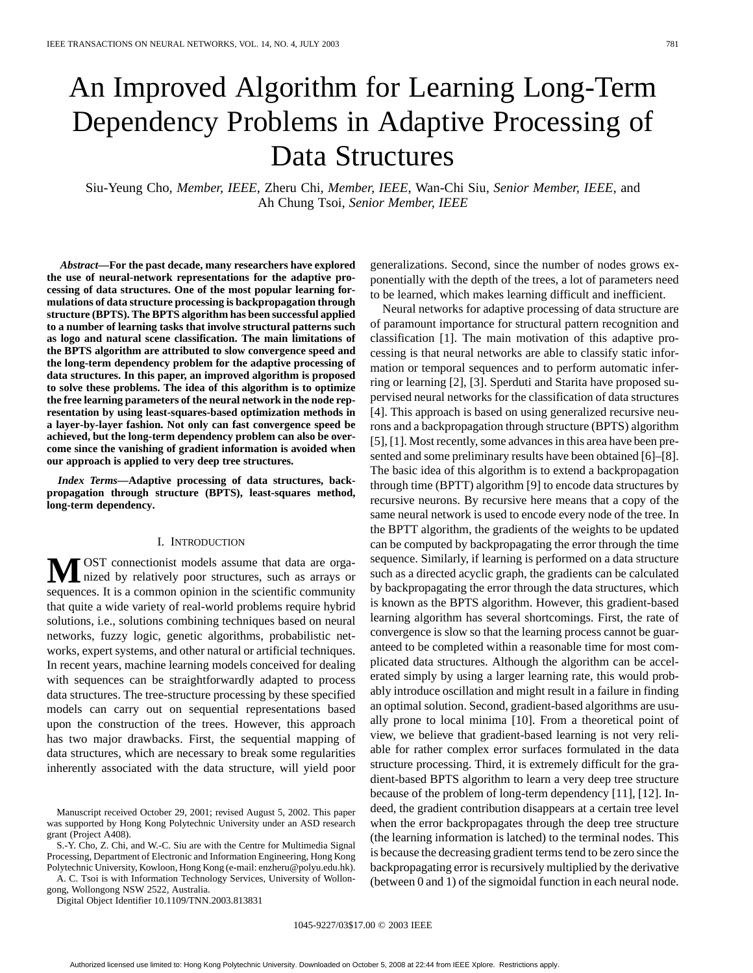# An Improved Algorithm for Learning Long-Term Dependency Problems in Adaptive Processing of Data Structures

Siu-Yeung Cho*, Member, IEEE*, Zheru Chi*, Member, IEEE*, Wan-Chi Siu*, Senior Member, IEEE*, and Ah Chung Tsoi*, Senior Member, IEEE*

*Abstract—***For the past decade, many researchers have explored the use of neural-network representations for the adaptive processing of data structures. One of the most popular learning formulations of data structure processing is backpropagation through structure (BPTS). The BPTS algorithm has been successful applied to a number of learning tasks that involve structural patterns such as logo and natural scene classification. The main limitations of the BPTS algorithm are attributed to slow convergence speed and the long-term dependency problem for the adaptive processing of data structures. In this paper, an improved algorithm is proposed to solve these problems. The idea of this algorithm is to optimize the free learning parameters of the neural network in the node representation by using least-squares-based optimization methods in a layer-by-layer fashion. Not only can fast convergence speed be achieved, but the long-term dependency problem can also be overcome since the vanishing of gradient information is avoided when our approach is applied to very deep tree structures.**

*Index Terms—***Adaptive processing of data structures, backpropagation through structure (BPTS), least-squares method, long-term dependency.**

## I. INTRODUCTION

**M**OST connectionist models assume that data are orga-<br>nized by relatively poor structures, such as arrays or<br>segments of the accuracy original in the scientific community sequences. It is a common opinion in the scientific community that quite a wide variety of real-world problems require hybrid solutions, i.e., solutions combining techniques based on neural networks, fuzzy logic, genetic algorithms, probabilistic networks, expert systems, and other natural or artificial techniques. In recent years, machine learning models conceived for dealing with sequences can be straightforwardly adapted to process data structures. The tree-structure processing by these specified models can carry out on sequential representations based upon the construction of the trees. However, this approach has two major drawbacks. First, the sequential mapping of data structures, which are necessary to break some regularities inherently associated with the data structure, will yield poor

S.-Y. Cho, Z. Chi, and W.-C. Siu are with the Centre for Multimedia Signal Processing, Department of Electronic and Information Engineering, Hong Kong Polytechnic University, Kowloon, Hong Kong (e-mail: enzheru@polyu.edu.hk).

A. C. Tsoi is with Information Technology Services, University of Wollongong, Wollongong NSW 2522, Australia.

Digital Object Identifier 10.1109/TNN.2003.813831

generalizations. Second, since the number of nodes grows exponentially with the depth of the trees, a lot of parameters need to be learned, which makes learning difficult and inefficient.

Neural networks for adaptive processing of data structure are of paramount importance for structural pattern recognition and classification [1]. The main motivation of this adaptive processing is that neural networks are able to classify static information or temporal sequences and to perform automatic inferring or learning [2], [3]. Sperduti and Starita have proposed supervised neural networks for the classification of data structures [4]. This approach is based on using generalized recursive neurons and a backpropagation through structure (BPTS) algorithm [5], [1]. Most recently, some advances in this area have been presented and some preliminary results have been obtained [6]–[8]. The basic idea of this algorithm is to extend a backpropagation through time (BPTT) algorithm [9] to encode data structures by recursive neurons. By recursive here means that a copy of the same neural network is used to encode every node of the tree. In the BPTT algorithm, the gradients of the weights to be updated can be computed by backpropagating the error through the time sequence. Similarly, if learning is performed on a data structure such as a directed acyclic graph, the gradients can be calculated by backpropagating the error through the data structures, which is known as the BPTS algorithm. However, this gradient-based learning algorithm has several shortcomings. First, the rate of convergence is slow so that the learning process cannot be guaranteed to be completed within a reasonable time for most complicated data structures. Although the algorithm can be accelerated simply by using a larger learning rate, this would probably introduce oscillation and might result in a failure in finding an optimal solution. Second, gradient-based algorithms are usually prone to local minima [10]. From a theoretical point of view, we believe that gradient-based learning is not very reliable for rather complex error surfaces formulated in the data structure processing. Third, it is extremely difficult for the gradient-based BPTS algorithm to learn a very deep tree structure because of the problem of long-term dependency [11], [12]. Indeed, the gradient contribution disappears at a certain tree level when the error backpropagates through the deep tree structure (the learning information is latched) to the terminal nodes. This is because the decreasing gradient terms tend to be zero since the backpropagating error is recursively multiplied by the derivative (between 0 and 1) of the sigmoidal function in each neural node.

1045-9227/03\$17.00 © 2003 IEEE

Manuscript received October 29, 2001; revised August 5, 2002. This paper was supported by Hong Kong Polytechnic University under an ASD research grant (Project A408).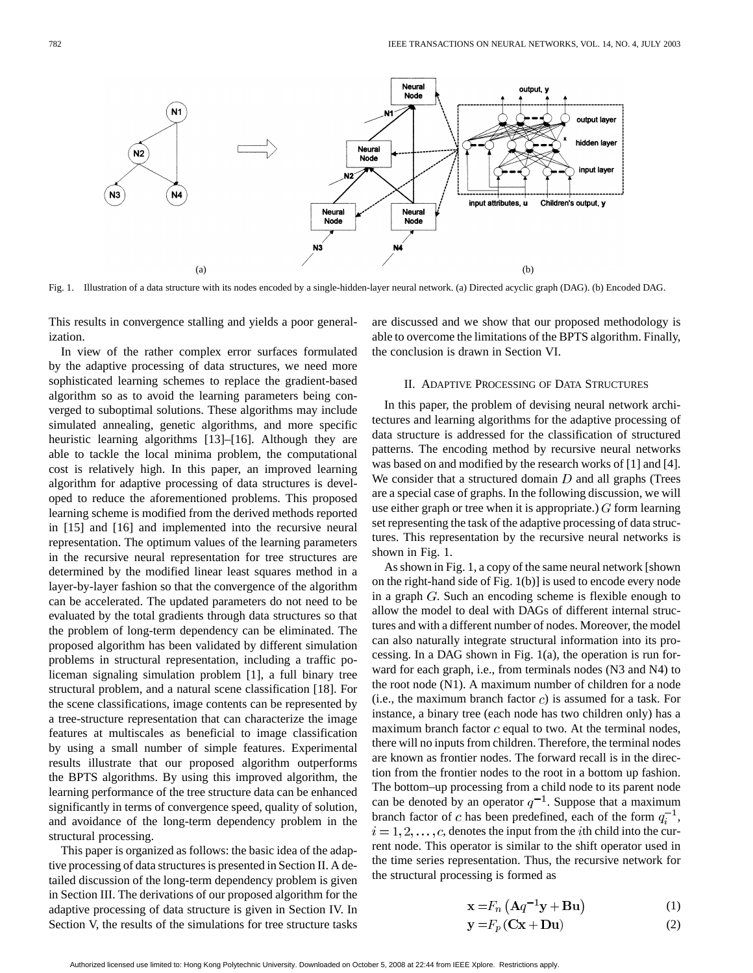

Fig. 1. Illustration of a data structure with its nodes encoded by a single-hidden-layer neural network. (a) Directed acyclic graph (DAG). (b) Encoded DAG.

This results in convergence stalling and yields a poor generalization.

In view of the rather complex error surfaces formulated by the adaptive processing of data structures, we need more sophisticated learning schemes to replace the gradient-based algorithm so as to avoid the learning parameters being converged to suboptimal solutions. These algorithms may include simulated annealing, genetic algorithms, and more specific heuristic learning algorithms [13]–[16]. Although they are able to tackle the local minima problem, the computational cost is relatively high. In this paper, an improved learning algorithm for adaptive processing of data structures is developed to reduce the aforementioned problems. This proposed learning scheme is modified from the derived methods reported in [15] and [16] and implemented into the recursive neural representation. The optimum values of the learning parameters in the recursive neural representation for tree structures are determined by the modified linear least squares method in a layer-by-layer fashion so that the convergence of the algorithm can be accelerated. The updated parameters do not need to be evaluated by the total gradients through data structures so that the problem of long-term dependency can be eliminated. The proposed algorithm has been validated by different simulation problems in structural representation, including a traffic policeman signaling simulation problem [1], a full binary tree structural problem, and a natural scene classification [18]. For the scene classifications, image contents can be represented by a tree-structure representation that can characterize the image features at multiscales as beneficial to image classification by using a small number of simple features. Experimental results illustrate that our proposed algorithm outperforms the BPTS algorithms. By using this improved algorithm, the learning performance of the tree structure data can be enhanced significantly in terms of convergence speed, quality of solution, and avoidance of the long-term dependency problem in the structural processing.

This paper is organized as follows: the basic idea of the adaptive processing of data structures is presented in Section II. A detailed discussion of the long-term dependency problem is given in Section III. The derivations of our proposed algorithm for the adaptive processing of data structure is given in Section IV. In Section V, the results of the simulations for tree structure tasks are discussed and we show that our proposed methodology is able to overcome the limitations of the BPTS algorithm. Finally, the conclusion is drawn in Section VI.

# II. ADAPTIVE PROCESSING OF DATA STRUCTURES

In this paper, the problem of devising neural network architectures and learning algorithms for the adaptive processing of data structure is addressed for the classification of structured patterns. The encoding method by recursive neural networks was based on and modified by the research works of [1] and [4]. We consider that a structured domain  $D$  and all graphs (Trees are a special case of graphs. In the following discussion, we will use either graph or tree when it is appropriate.)  $G$  form learning set representing the task of the adaptive processing of data structures. This representation by the recursive neural networks is shown in Fig. 1.

As shown in Fig. 1, a copy of the same neural network [shown on the right-hand side of Fig. 1(b)] is used to encode every node in a graph  $G$ . Such an encoding scheme is flexible enough to allow the model to deal with DAGs of different internal structures and with a different number of nodes. Moreover, the model can also naturally integrate structural information into its processing. In a DAG shown in Fig. 1(a), the operation is run forward for each graph, i.e., from terminals nodes (N3 and N4) to the root node (N1). A maximum number of children for a node (i.e., the maximum branch factor  $c$ ) is assumed for a task. For instance, a binary tree (each node has two children only) has a maximum branch factor  $c$  equal to two. At the terminal nodes, there will no inputs from children. Therefore, the terminal nodes are known as frontier nodes. The forward recall is in the direction from the frontier nodes to the root in a bottom up fashion. The bottom–up processing from a child node to its parent node can be denoted by an operator  $q^{-1}$ . Suppose that a maximum branch factor of c has been predefined, each of the form  $q_i^{-1}$ ,  $i = 1, 2, \ldots, c$ , denotes the input from the *i*th child into the current node. This operator is similar to the shift operator used in the time series representation. Thus, the recursive network for the structural processing is formed as

$$
\mathbf{x} = F_n \left( \mathbf{A} q^{-1} \mathbf{y} + \mathbf{B} \mathbf{u} \right) \tag{1}
$$

$$
y = F_p(Cx + Du)
$$
 (2)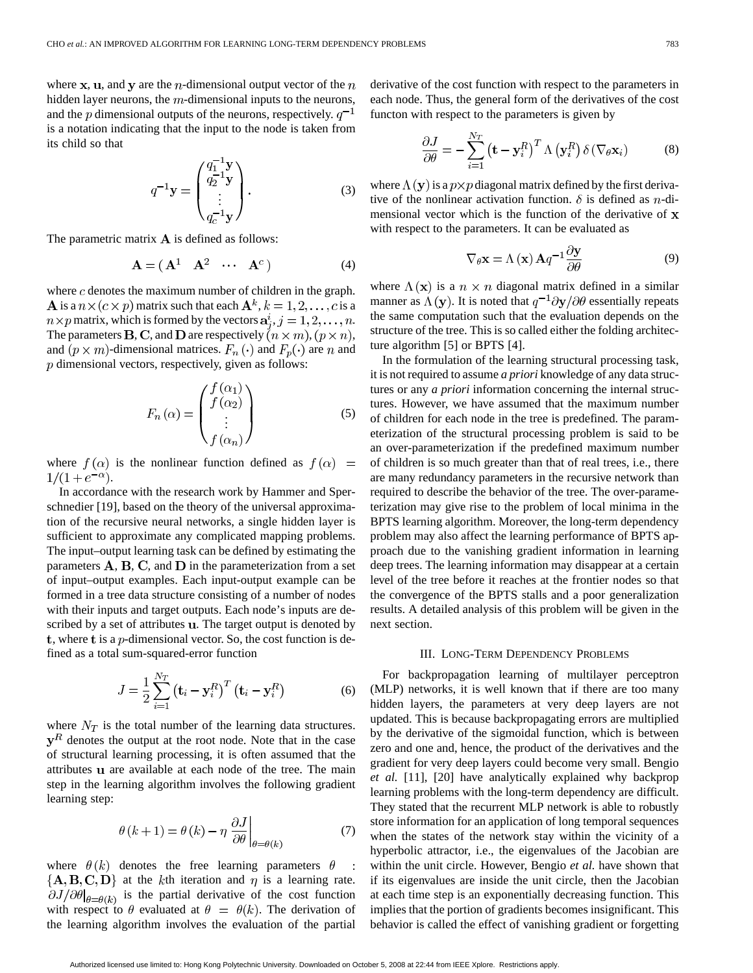where  $x$ ,  $u$ , and  $y$  are the *n*-dimensional output vector of the *n* hidden layer neurons, the  $m$ -dimensional inputs to the neurons, and the p dimensional outputs of the neurons, respectively.  $q^{-1}$ is a notation indicating that the input to the node is taken from its child so that

$$
q^{-1}\mathbf{y} = \begin{pmatrix} q_1^{-1}\mathbf{y} \\ q_2^{-1}\mathbf{y} \\ \vdots \\ q_c^{-1}\mathbf{y} \end{pmatrix} . \tag{3}
$$

The parametric matrix  $\bf{A}$  is defined as follows:

$$
\mathbf{A} = \begin{pmatrix} \mathbf{A}^1 & \mathbf{A}^2 & \cdots & \mathbf{A}^c \end{pmatrix} \tag{4}
$$

where  $c$  denotes the maximum number of children in the graph. **A** is a  $n \times (c \times p)$  matrix such that each  $A^k$ ,  $k = 1, 2, \dots, c$  is a  $n \times p$  matrix, which is formed by the vectors  $a_i^i$ ,  $j = 1, 2, ..., n$ . The parameters **B**, **C**, and **D** are respectively  $(n \times m)$ ,  $(p \times n)$ , and  $(p \times m)$ -dimensional matrices.  $F_n(\cdot)$  and  $F_p(\cdot)$  are n and  $p$  dimensional vectors, respectively, given as follows:

$$
F_n(\alpha) = \begin{pmatrix} f(\alpha_1) \\ f(\alpha_2) \\ \vdots \\ f(\alpha_n) \end{pmatrix}
$$
 (5)

where  $f(\alpha)$  is the nonlinear function defined as  $f(\alpha)$  =  $1/(1+e^{-\alpha}).$ 

In accordance with the research work by Hammer and Sperschnedier [19], based on the theory of the universal approximation of the recursive neural networks, a single hidden layer is sufficient to approximate any complicated mapping problems. The input–output learning task can be defined by estimating the parameters  $A$ ,  $B$ ,  $C$ , and  $D$  in the parameterization from a set of input–output examples. Each input-output example can be formed in a tree data structure consisting of a number of nodes with their inputs and target outputs. Each node's inputs are described by a set of attributes **u**. The target output is denoted by  $t$ , where  $t$  is a *p*-dimensional vector. So, the cost function is defined as a total sum-squared-error function

$$
J = \frac{1}{2} \sum_{i=1}^{N_T} \left( \mathbf{t}_i - \mathbf{y}_i^R \right)^T \left( \mathbf{t}_i - \mathbf{y}_i^R \right) \tag{6}
$$

where  $N_T$  is the total number of the learning data structures.  $y<sup>R</sup>$  denotes the output at the root node. Note that in the case of structural learning processing, it is often assumed that the attributes u are available at each node of the tree. The main step in the learning algorithm involves the following gradient learning step:

$$
\theta(k+1) = \theta(k) - \eta \left. \frac{\partial J}{\partial \theta} \right|_{\theta = \theta(k)} \tag{7}
$$

where  $\theta(k)$  denotes the free learning parameters  $\theta$  ${A, B, C, D}$  at the kth iteration and  $\eta$  is a learning rate.  $\partial J/\partial \theta|_{\theta=\theta(k)}$  is the partial derivative of the cost function with respect to  $\theta$  evaluated at  $\theta = \theta(k)$ . The derivation of the learning algorithm involves the evaluation of the partial

derivative of the cost function with respect to the parameters in each node. Thus, the general form of the derivatives of the cost functon with respect to the parameters is given by

$$
\frac{\partial J}{\partial \theta} = -\sum_{i=1}^{N_T} \left( \mathbf{t} - \mathbf{y}_i^R \right)^T \Lambda \left( \mathbf{y}_i^R \right) \delta \left( \nabla_\theta \mathbf{x}_i \right) \tag{8}
$$

where  $\Lambda$  (y) is a  $p \times p$  diagonal matrix defined by the first derivative of the nonlinear activation function.  $\delta$  is defined as *n*-dimensional vector which is the function of the derivative of  $x$ with respect to the parameters. It can be evaluated as

$$
\nabla_{\theta} \mathbf{x} = \Lambda(\mathbf{x}) \mathbf{A} q^{-1} \frac{\partial \mathbf{y}}{\partial \theta} \tag{9}
$$

where  $\Lambda(\mathbf{x})$  is a  $n \times n$  diagonal matrix defined in a similar manner as  $\Lambda(y)$ . It is noted that  $q^{-1}\partial y/\partial \theta$  essentially repeats the same computation such that the evaluation depends on the structure of the tree. This is so called either the folding architecture algorithm [5] or BPTS [4].

In the formulation of the learning structural processing task, it is not required to assume *a priori* knowledge of any data structures or any *a priori* information concerning the internal structures. However, we have assumed that the maximum number of children for each node in the tree is predefined. The parameterization of the structural processing problem is said to be an over-parameterization if the predefined maximum number of children is so much greater than that of real trees, i.e., there are many redundancy parameters in the recursive network than required to describe the behavior of the tree. The over-parameterization may give rise to the problem of local minima in the BPTS learning algorithm. Moreover, the long-term dependency problem may also affect the learning performance of BPTS approach due to the vanishing gradient information in learning deep trees. The learning information may disappear at a certain level of the tree before it reaches at the frontier nodes so that the convergence of the BPTS stalls and a poor generalization results. A detailed analysis of this problem will be given in the next section.

## III. LONG-TERM DEPENDENCY PROBLEMS

For backpropagation learning of multilayer perceptron (MLP) networks, it is well known that if there are too many hidden layers, the parameters at very deep layers are not updated. This is because backpropagating errors are multiplied by the derivative of the sigmoidal function, which is between zero and one and, hence, the product of the derivatives and the gradient for very deep layers could become very small. Bengio *et al.* [11], [20] have analytically explained why backprop learning problems with the long-term dependency are difficult. They stated that the recurrent MLP network is able to robustly store information for an application of long temporal sequences when the states of the network stay within the vicinity of a hyperbolic attractor, i.e., the eigenvalues of the Jacobian are within the unit circle. However, Bengio *et al.* have shown that if its eigenvalues are inside the unit circle, then the Jacobian at each time step is an exponentially decreasing function. This implies that the portion of gradients becomes insignificant. This behavior is called the effect of vanishing gradient or forgetting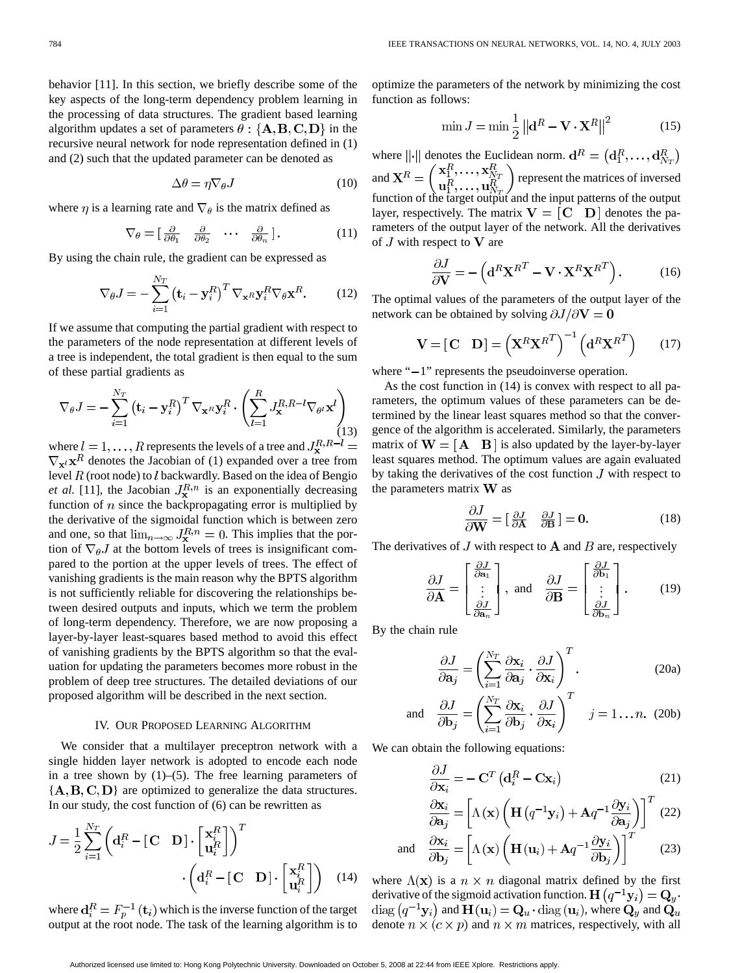behavior [11]. In this section, we briefly describe some of the key aspects of the long-term dependency problem learning in the processing of data structures. The gradient based learning algorithm updates a set of parameters  $\theta$  : { $\mathbf{A}, \mathbf{B}, \mathbf{C}, \mathbf{D}$ } in the recursive neural network for node representation defined in (1) and (2) such that the updated parameter can be denoted as

$$
\Delta \theta = \eta \nabla_{\theta} J \tag{10}
$$

where  $\eta$  is a learning rate and  $\nabla_{\theta}$  is the matrix defined as

$$
\nabla_{\theta} = \begin{bmatrix} \frac{\partial}{\partial \theta_1} & \frac{\partial}{\partial \theta_2} & \cdots & \frac{\partial}{\partial \theta_n} \end{bmatrix} . \tag{11}
$$

By using the chain rule, the gradient can be expressed as

 $\ddot{\phantom{a}}$ 

$$
\nabla_{\theta} J = -\sum_{i=1}^{N_T} \left( \mathbf{t}_i - \mathbf{y}_i^R \right)^T \nabla_{\mathbf{x}^R} \mathbf{y}_i^R \nabla_{\theta} \mathbf{x}^R. \tag{12}
$$

If we assume that computing the partial gradient with respect to the parameters of the node representation at different levels of a tree is independent, the total gradient is then equal to the sum of these partial gradients as

$$
\nabla_{\theta}J = -\sum_{i=1}^{N_T} \left(\mathbf{t}_i - \mathbf{y}_i^R\right)^T \nabla_{\mathbf{x}^R} \mathbf{y}_i^R \cdot \left(\sum_{l=1}^R J_{\mathbf{x}}^{R,R-l} \nabla_{\theta^l} \mathbf{x}^l\right)
$$
\n(13)

where  $l = 1, ..., R$  represents the levels of a tree and  $J_{\mathbf{x}}^{R,R-l}$  =  $\nabla_{\mathbf{x}^l} \mathbf{x}^R$  denotes the Jacobian of (1) expanded over a tree from level  $R$  (root node) to  $l$  backwardly. Based on the idea of Bengio *et al.* [11], the Jacobian  $J_{\mathbf{x}}^{R,n}$  is an exponentially decreasing function of  $n$  since the backpropagating error is multiplied by the derivative of the sigmoidal function which is between zero and one, so that  $\lim_{n\to\infty} J_{\mathbf{x}}^{R,n} = 0$ . This implies that the portion of  $\nabla_{\theta} J$  at the bottom levels of trees is insignificant compared to the portion at the upper levels of trees. The effect of vanishing gradients is the main reason why the BPTS algorithm is not sufficiently reliable for discovering the relationships between desired outputs and inputs, which we term the problem of long-term dependency. Therefore, we are now proposing a layer-by-layer least-squares based method to avoid this effect of vanishing gradients by the BPTS algorithm so that the evaluation for updating the parameters becomes more robust in the problem of deep tree structures. The detailed deviations of our proposed algorithm will be described in the next section.

## IV. OUR PROPOSED LEARNING ALGORITHM

We consider that a multilayer preceptron network with a single hidden layer network is adopted to encode each node in a tree shown by  $(1)$ – $(5)$ . The free learning parameters of  ${A, B, C, D}$  are optimized to generalize the data structures. In our study, the cost function of (6) can be rewritten as

$$
J = \frac{1}{2} \sum_{i=1}^{N_T} \left( \mathbf{d}_i^R - [\mathbf{C} \quad \mathbf{D}] \cdot \begin{bmatrix} \mathbf{x}_i^R \\ \mathbf{u}_i^R \end{bmatrix} \right)^T
$$

$$
\cdot \left( \mathbf{d}_i^R - [\mathbf{C} \quad \mathbf{D}] \cdot \begin{bmatrix} \mathbf{x}_i^R \\ \mathbf{u}_i^R \end{bmatrix} \right) \quad (14)
$$

where  $\mathbf{d}_i^R = F_p^{-1}(\mathbf{t}_i)$  which is the inverse function of the target output at the root node. The task of the learning algorithm is to optimize the parameters of the network by minimizing the cost function as follows:

$$
\min J = \min \frac{1}{2} \left\| \mathbf{d}^R - \mathbf{V} \cdot \mathbf{X}^R \right\|^2 \tag{15}
$$

where  $\left\Vert \cdot\right\Vert$  denotes the Euclidean norm. and  $X^R = \begin{pmatrix} \frac{X_1}{R}, \cdots, \frac{X_{N_T}}{R} \end{pmatrix}$  represent the matrices of inversed function of the target output and the input patterns of the output layer, respectively. The matrix  $V = [C \ D]$  denotes the parameters of the output layer of the network. All the derivatives of  $J$  with respect to  $V$  are

$$
\frac{\partial J}{\partial \mathbf{V}} = -\left(\mathbf{d}^R \mathbf{X}^{R^T} - \mathbf{V} \cdot \mathbf{X}^R \mathbf{X}^{R^T}\right). \tag{16}
$$

The optimal values of the parameters of the output layer of the network can be obtained by solving  $\partial J/\partial V = 0$ 

$$
\mathbf{V} = [\mathbf{C} \quad \mathbf{D}] = \left(\mathbf{X}^R \mathbf{X}^{R^T}\right)^{-1} \left(\mathbf{d}^R \mathbf{X}^{R^T}\right) \tag{17}
$$

where  $-1$ " represents the pseudoinverse operation.

As the cost function in (14) is convex with respect to all parameters, the optimum values of these parameters can be determined by the linear least squares method so that the convergence of the algorithm is accelerated. Similarly, the parameters matrix of  $W = [A \ B]$  is also updated by the layer-by-layer least squares method. The optimum values are again evaluated by taking the derivatives of the cost function  $J$  with respect to the parameters matrix  $W$  as

$$
\frac{\partial J}{\partial \mathbf{W}} = \begin{bmatrix} \frac{\partial J}{\partial \mathbf{A}} & \frac{\partial J}{\partial \mathbf{B}} \end{bmatrix} = \mathbf{0}.
$$
 (18)

The derivatives of  $J$  with respect to  $A$  and  $B$  are, respectively

$$
\frac{\partial J}{\partial \mathbf{A}} = \begin{bmatrix} \frac{\partial J}{\partial \mathbf{a}_1} \\ \vdots \\ \frac{\partial J}{\partial \mathbf{a}_n} \end{bmatrix}, \text{ and } \frac{\partial J}{\partial \mathbf{B}} = \begin{bmatrix} \frac{\partial J}{\partial \mathbf{b}_1} \\ \vdots \\ \frac{\partial J}{\partial \mathbf{b}_n} \end{bmatrix}.
$$
 (19)

By the chain rule

$$
\frac{\partial J}{\partial \mathbf{a}_j} = \left( \sum_{i=1}^{N_T} \frac{\partial \mathbf{x}_i}{\partial \mathbf{a}_j} \cdot \frac{\partial J}{\partial \mathbf{x}_i} \right)^T.
$$
 (20a)

and 
$$
\frac{\partial J}{\partial \mathbf{b}_j} = \left( \sum_{i=1}^{N_T} \frac{\partial \mathbf{x}_i}{\partial \mathbf{b}_j} \cdot \frac{\partial J}{\partial \mathbf{x}_i} \right)^T \quad j = 1 \dots n.
$$
 (20b)

We can obtain the following equations:

$$
\frac{\partial J}{\partial \mathbf{x}_i} = -\mathbf{C}^T \left( \mathbf{d}_i^R - \mathbf{C} \mathbf{x}_i \right) \tag{21}
$$

$$
\frac{\partial \mathbf{x}_i}{\partial \mathbf{a}_j} = \left[ \Lambda \left( \mathbf{x} \right) \left( \mathbf{H} \left( q^{-1} \mathbf{y}_i \right) + \mathbf{A} q^{-1} \frac{\partial \mathbf{y}_i}{\partial \mathbf{a}_j} \right) \right]^T \tag{22}
$$

and 
$$
\frac{\partial \mathbf{x}_i}{\partial \mathbf{b}_j} = \left[ \Lambda(\mathbf{x}) \left( \mathbf{H}(\mathbf{u}_i) + \mathbf{A} q^{-1} \frac{\partial \mathbf{y}_i}{\partial \mathbf{b}_j} \right) \right]^T
$$
 (23)

where  $\Lambda(\mathbf{x})$  is a  $n \times n$  diagonal matrix defined by the first derivative of the sigmoid activation function. H  $(q^{-1}y_i) = Q_y$ .  $diag(q^{-1}y_i)$  and  $H(u_i) = Q_u \cdot diag(u_i)$ , where  $Q_y$  and  $Q_u$ denote  $n \times (c \times p)$  and  $n \times m$  matrices, respectively, with all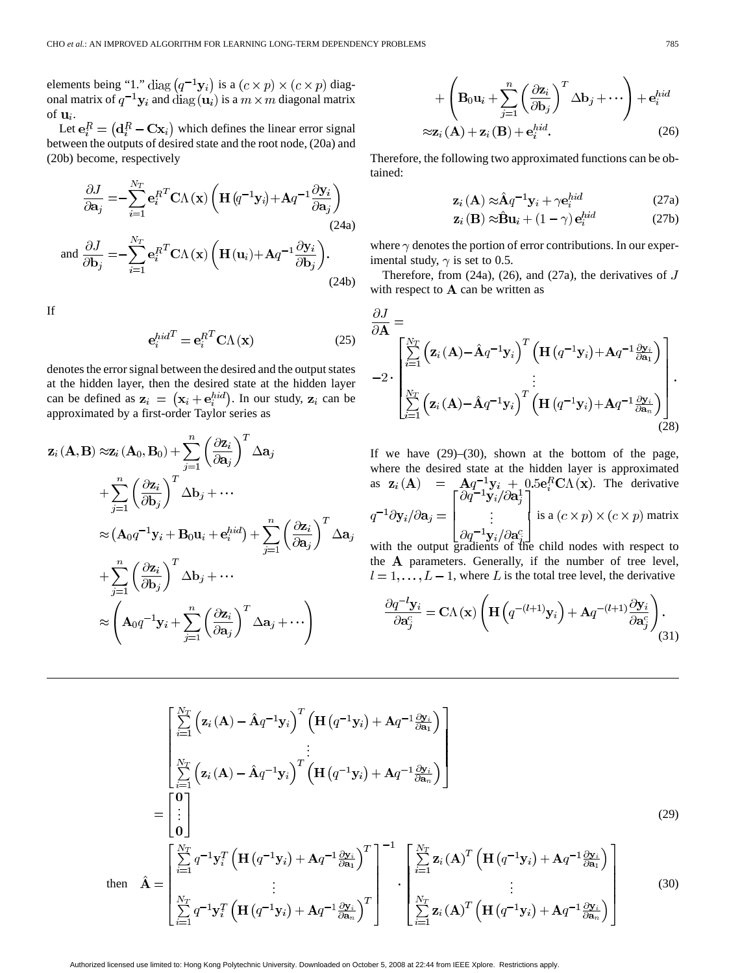elements being "1." diag  $(q^{-1}y_i)$  is a  $(c \times p) \times (c \times p)$  diagonal matrix of  $q^{-1}y_i$  and  $diag(\mathbf{u}_i)$  is a  $m \times m$  diagonal matrix of  $\mathbf{u}_i$ .

Let  $e_i^R = (d_i^R - Cx_i)$  which defines the linear error signal between the outputs of desired state and the root node, (20a) and (20b) become, respectively

$$
\frac{\partial J}{\partial \mathbf{a}_j} = -\sum_{i=1}^{N_T} \mathbf{e}_i^{RT} \mathbf{C} \Lambda(\mathbf{x}) \left( \mathbf{H} \left( q^{-1} \mathbf{y}_i \right) + \mathbf{A} q^{-1} \frac{\partial \mathbf{y}_i}{\partial \mathbf{a}_j} \right)
$$
\n(24a)\nand\n
$$
\frac{\partial J}{\partial \mathbf{b}_j} = -\sum_{i=1}^{N_T} \mathbf{e}_i^{RT} \mathbf{C} \Lambda(\mathbf{x}) \left( \mathbf{H} (\mathbf{u}_i) + \mathbf{A} q^{-1} \frac{\partial \mathbf{y}_i}{\partial \mathbf{b}_j} \right).
$$
\n(24b)

If

$$
\mathbf{e}_i^{hid^T} = \mathbf{e}_i^{RT} \mathbf{C} \Lambda \left( \mathbf{x} \right) \tag{25}
$$

denotes the error signal between the desired and the output states at the hidden layer, then the desired state at the hidden layer can be defined as  $\mathbf{z}_i = (\mathbf{x}_i + \mathbf{e}_i^{hid})$ . In our study,  $\mathbf{z}_i$  can be approximated by a first-order Taylor series as

$$
\mathbf{z}_{i}(\mathbf{A}, \mathbf{B}) \approx \mathbf{z}_{i}(\mathbf{A}_{0}, \mathbf{B}_{0}) + \sum_{j=1}^{n} \left(\frac{\partial \mathbf{z}_{i}}{\partial \mathbf{a}_{j}}\right)^{T} \Delta \mathbf{a}_{j} \n+ \sum_{j=1}^{n} \left(\frac{\partial \mathbf{z}_{i}}{\partial \mathbf{b}_{j}}\right)^{T} \Delta \mathbf{b}_{j} + \cdots \n\approx (\mathbf{A}_{0}q^{-1}\mathbf{y}_{i} + \mathbf{B}_{0}\mathbf{u}_{i} + \mathbf{e}_{i}^{hid}) + \sum_{j=1}^{n} \left(\frac{\partial \mathbf{z}_{i}}{\partial \mathbf{a}_{j}}\right)^{T} \Delta \mathbf{a}_{j} \n+ \sum_{j=1}^{n} \left(\frac{\partial \mathbf{z}_{i}}{\partial \mathbf{b}_{j}}\right)^{T} \Delta \mathbf{b}_{j} + \cdots \n\approx \left(\mathbf{A}_{0}q^{-1}\mathbf{y}_{i} + \sum_{j=1}^{n} \left(\frac{\partial \mathbf{z}_{i}}{\partial \mathbf{a}_{j}}\right)^{T} \Delta \mathbf{a}_{j} + \cdots\right)
$$

$$
+\left(\mathbf{B}_0\mathbf{u}_i+\sum_{j=1}^n\left(\frac{\partial\mathbf{z}_i}{\partial\mathbf{b}_j}\right)^T\Delta\mathbf{b}_j+\cdots\right)+\mathbf{e}_i^{hid}
$$

$$
\approx \mathbf{z}_i(\mathbf{A})+\mathbf{z}_i(\mathbf{B})+\mathbf{e}_i^{hid}.
$$
 (26)

Therefore, the following two approximated functions can be obtained:

$$
\mathbf{z}_{i}\left(\mathbf{A}\right) \approx \hat{\mathbf{A}}q^{-1}\mathbf{y}_{i} + \gamma \mathbf{e}_{i}^{hid} \tag{27a}
$$

$$
\mathbf{z}_i(\mathbf{B}) \approx \mathbf{B} \mathbf{u}_i + (1 - \gamma) \mathbf{e}_i^{hd} \tag{27b}
$$

where  $\gamma$  denotes the portion of error contributions. In our experimental study,  $\gamma$  is set to 0.5.

Therefore, from  $(24a)$ ,  $(26)$ , and  $(27a)$ , the derivatives of J with respect to  $A$  can be written as

$$
\frac{\partial J}{\partial \mathbf{A}} = \left[\sum_{i=1}^{N_T} \left(\mathbf{z}_i (\mathbf{A}) - \hat{\mathbf{A}} q^{-1} \mathbf{y}_i\right)^T \left(\mathbf{H}\left(q^{-1} \mathbf{y}_i\right) + \mathbf{A} q^{-1} \frac{\partial \mathbf{y}_i}{\partial \mathbf{a}_1}\right)\right] \cdot \left[\sum_{i=1}^{N_T} \left(\mathbf{z}_i (\mathbf{A}) - \hat{\mathbf{A}} q^{-1} \mathbf{y}_i\right)^T \left(\mathbf{H}\left(q^{-1} \mathbf{y}_i\right) + \mathbf{A} q^{-1} \frac{\partial \mathbf{y}_i}{\partial \mathbf{a}_n}\right)\right].
$$
\n(28)

If we have  $(29)$ – $(30)$ , shown at the bottom of the page, where the desired state at the hidden layer is approximated as  $\mathbf{z}_i(\mathbf{A}) = \mathbf{A}q^{-1}\mathbf{y}_i + 0.5\mathbf{e}_i^R\mathbf{C}\Lambda(\mathbf{x})$ . The derivative  $\vdots$  is a  $(c \times p) \times (c \times p)$  matrix

with the output gradients of the child nodes with respect to the  $A$  parameters. Generally, if the number of tree level,  $l = 1, \ldots, L - 1$ , where L is the total tree level, the derivative

$$
\frac{\partial q^{-l} \mathbf{y}_i}{\partial \mathbf{a}_j^c} = \mathbf{C}\Lambda(\mathbf{x}) \left( \mathbf{H} \left( q^{-(l+1)} \mathbf{y}_i \right) + \mathbf{A} q^{-(l+1)} \frac{\partial \mathbf{y}_i}{\partial \mathbf{a}_j^c} \right). \tag{31}
$$

$$
\begin{bmatrix}\n\sum_{i=1}^{N_T} \left( \mathbf{z}_i (\mathbf{A}) - \hat{\mathbf{A}} q^{-1} \mathbf{y}_i \right)^T \left( \mathbf{H} \left( q^{-1} \mathbf{y}_i \right) + \mathbf{A} q^{-1} \frac{\partial \mathbf{y}_i}{\partial \mathbf{a}_1} \right) \\
\vdots \\
\sum_{i=1}^{N_T} \left( \mathbf{z}_i (\mathbf{A}) - \hat{\mathbf{A}} q^{-1} \mathbf{y}_i \right)^T \left( \mathbf{H} \left( q^{-1} \mathbf{y}_i \right) + \mathbf{A} q^{-1} \frac{\partial \mathbf{y}_i}{\partial \mathbf{a}_n} \right)\n\end{bmatrix}
$$
\n
$$
= \begin{bmatrix}\n0 \\
\vdots \\
0\n\end{bmatrix}
$$
\n
$$
\hat{\mathbf{A}} = \begin{bmatrix}\n\sum_{i=1}^{N_T} q^{-1} \mathbf{y}_i^T \left( \mathbf{H} \left( q^{-1} \mathbf{y}_i \right) + \mathbf{A} q^{-1} \frac{\partial \mathbf{y}_i}{\partial \mathbf{a}_1} \right)^T \right]^{-1} \left[ \sum_{i=1}^{N_T} \mathbf{z}_i (\mathbf{A})^T \left( \mathbf{H} \left( q^{-1} \mathbf{y}_i \right) + \mathbf{A} q^{-1} \frac{\partial \mathbf{y}_i}{\partial \mathbf{a}_1} \right) \right] \\
\vdots \\
\sum_{i=1}^{N_T} q^{-1} \mathbf{y}_i^T \left( \mathbf{H} \left( q^{-1} \mathbf{y}_i \right) + \mathbf{A} q^{-1} \frac{\partial \mathbf{y}_i}{\partial \mathbf{a}_n} \right)^T \right]^{-1} \left[ \sum_{i=1}^{N_T} \mathbf{z}_i (\mathbf{A})^T \left( \mathbf{H} \left( q^{-1} \mathbf{y}_i \right) + \mathbf{A} q^{-1} \frac{\partial \mathbf{y}_i}{\partial \mathbf{a}_n} \right) \right] \tag{30}
$$

 $\sim$   $\sim$ 

Authorized licensed use limited to: Hong Kong Polytechnic University. Downloaded on October 5, 2008 at 22:44 from IEEE Xplore. Restrictions apply.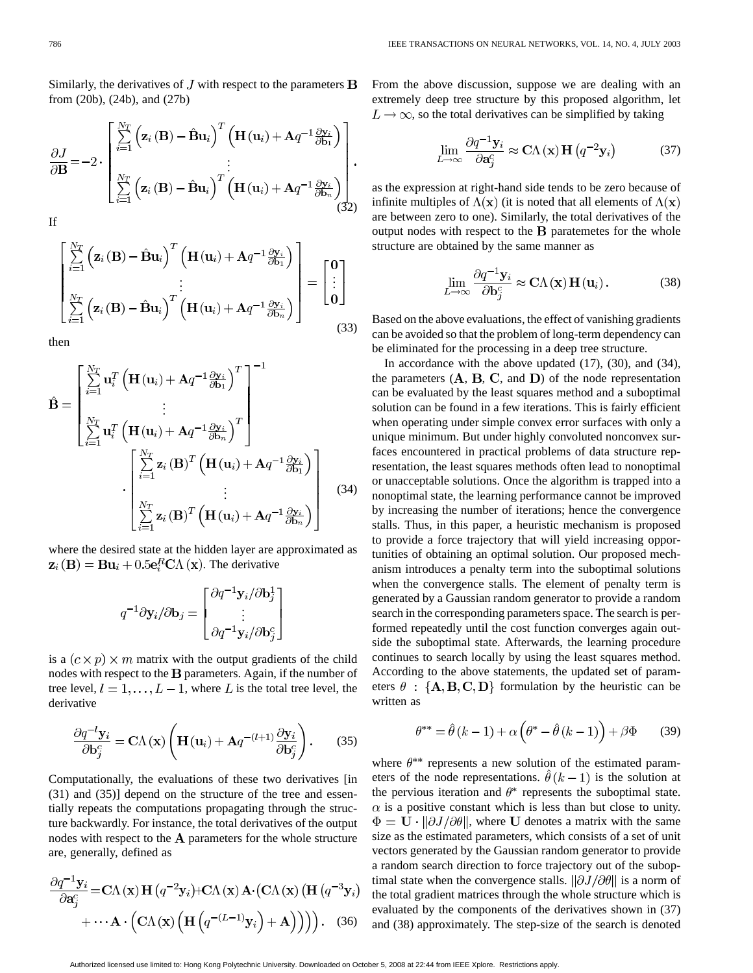Similarly, the derivatives of  $J$  with respect to the parameters  $\bf{B}$ from (20b), (24b), and (27b)

$$
\frac{\partial J}{\partial \mathbf{B}} = -2 \cdot \begin{bmatrix} \sum_{i=1}^{N_T} \left( \mathbf{z}_i \left( \mathbf{B} \right) - \hat{\mathbf{B}} \mathbf{u}_i \right)^T \left( \mathbf{H} \left( \mathbf{u}_i \right) + \mathbf{A} q^{-1} \frac{\partial \mathbf{y}_i}{\partial \mathbf{b}_1} \right) \\ \vdots \\ \sum_{i=1}^{N_T} \left( \mathbf{z}_i \left( \mathbf{B} \right) - \hat{\mathbf{B}} \mathbf{u}_i \right)^T \left( \mathbf{H} \left( \mathbf{u}_i \right) + \mathbf{A} q^{-1} \frac{\partial \mathbf{y}_i}{\partial \mathbf{b}_n} \right) \end{bmatrix} .
$$

If

$$
\begin{bmatrix}\n\sum_{i=1}^{N_T} \left( \mathbf{z}_i \left( \mathbf{B} \right) - \hat{\mathbf{B}} \mathbf{u}_i \right)^T \left( \mathbf{H} \left( \mathbf{u}_i \right) + \mathbf{A} q^{-1} \frac{\partial \mathbf{y}_i}{\partial \mathbf{b}_1} \right) \\
\vdots \\
\sum_{i=1}^{N_T} \left( \mathbf{z}_i \left( \mathbf{B} \right) - \hat{\mathbf{B}} \mathbf{u}_i \right)^T \left( \mathbf{H} \left( \mathbf{u}_i \right) + \mathbf{A} q^{-1} \frac{\partial \mathbf{y}_i}{\partial \mathbf{b}_n} \right)\n\end{bmatrix} = \begin{bmatrix}\n0 \\
\vdots \\
0\n\end{bmatrix}
$$
\n(33)

then

$$
\hat{\mathbf{B}} = \begin{bmatrix} \sum_{i=1}^{N_T} \mathbf{u}_i^T \left( \mathbf{H}(\mathbf{u}_i) + \mathbf{A}q^{-1} \frac{\partial \mathbf{y}_i}{\partial \mathbf{b}_1} \right)^T \\ \vdots \\ \sum_{i=1}^{N_T} \mathbf{u}_i^T \left( \mathbf{H}(\mathbf{u}_i) + \mathbf{A}q^{-1} \frac{\partial \mathbf{y}_i}{\partial \mathbf{b}_n} \right)^T \\ \vdots \\ \sum_{i=1}^{N_T} \mathbf{z}_i (\mathbf{B})^T \left( \mathbf{H}(\mathbf{u}_i) + \mathbf{A}q^{-1} \frac{\partial \mathbf{y}_i}{\partial \mathbf{b}_1} \right) \\ \vdots \\ \sum_{i=1}^{N_T} \mathbf{z}_i (\mathbf{B})^T \left( \mathbf{H}(\mathbf{u}_i) + \mathbf{A}q^{-1} \frac{\partial \mathbf{y}_i}{\partial \mathbf{b}_n} \right) \end{bmatrix}
$$
(34)

where the desired state at the hidden layer are approximated as  $\mathbf{z}_i(\mathbf{B}) = \mathbf{B} \mathbf{u}_i + 0.5 \mathbf{e}_i^R \mathbf{C} \Lambda(\mathbf{x})$ . The derivative

$$
q^{-1}\partial \mathbf{y}_i/\partial \mathbf{b}_j = \begin{bmatrix} \partial q^{-1}\mathbf{y}_i/\partial \mathbf{b}_j^1 \\ \vdots \\ \partial q^{-1}\mathbf{y}_i/\partial \mathbf{b}_j^c \end{bmatrix}
$$

is a  $(c \times p) \times m$  matrix with the output gradients of the child nodes with respect to the  $B$  parameters. Again, if the number of tree level,  $l = 1, ..., L - 1$ , where L is the total tree level, the derivative

$$
\frac{\partial q^{-l} \mathbf{y}_i}{\partial \mathbf{b}_j^c} = \mathbf{C} \Lambda(\mathbf{x}) \left( \mathbf{H}(\mathbf{u}_i) + \mathbf{A} q^{-(l+1)} \frac{\partial \mathbf{y}_i}{\partial \mathbf{b}_j^c} \right). \tag{35}
$$

Computationally, the evaluations of these two derivatives [in (31) and (35)] depend on the structure of the tree and essentially repeats the computations propagating through the structure backwardly. For instance, the total derivatives of the output nodes with respect to the  $A$  parameters for the whole structure are, generally, defined as

$$
\frac{\partial q^{-1} \mathbf{y}_i}{\partial \mathbf{a}_j^c} = \mathbf{C}\Lambda(\mathbf{x}) \mathbf{H} \left( q^{-2} \mathbf{y}_i \right) + \mathbf{C}\Lambda(\mathbf{x}) \mathbf{A} \cdot (\mathbf{C}\Lambda(\mathbf{x}) \left( \mathbf{H} \left( q^{-3} \mathbf{y}_i \right) + \cdots \mathbf{A} \cdot \left( \mathbf{C}\Lambda(\mathbf{x}) \left( \mathbf{H} \left( q^{-(L-1)} \mathbf{y}_i \right) + \mathbf{A} \right) \right) \right) \right). \quad (36)
$$

From the above discussion, suppose we are dealing with an extremely deep tree structure by this proposed algorithm, let  $L \rightarrow \infty$ , so the total derivatives can be simplified by taking

$$
\lim_{L \to \infty} \frac{\partial q^{-1} \mathbf{y}_i}{\partial \mathbf{a}_j^c} \approx \mathbf{C} \Lambda(\mathbf{x}) \mathbf{H}\left(q^{-2} \mathbf{y}_i\right) \tag{37}
$$

as the expression at right-hand side tends to be zero because of infinite multiples of  $\Lambda(\mathbf{x})$  (it is noted that all elements of  $\Lambda(\mathbf{x})$ ) are between zero to one). Similarly, the total derivatives of the output nodes with respect to the  $B$  paratemetes for the whole structure are obtained by the same manner as

$$
\lim_{L \to \infty} \frac{\partial q^{-1} \mathbf{y}_i}{\partial \mathbf{b}_j^c} \approx \mathbf{C} \Lambda(\mathbf{x}) \, \mathbf{H}(\mathbf{u}_i). \tag{38}
$$

Based on the above evaluations, the effect of vanishing gradients can be avoided so that the problem of long-term dependency can be eliminated for the processing in a deep tree structure.

In accordance with the above updated (17), (30), and (34), the parameters  $(A, B, C, and D)$  of the node representation can be evaluated by the least squares method and a suboptimal solution can be found in a few iterations. This is fairly efficient when operating under simple convex error surfaces with only a unique minimum. But under highly convoluted nonconvex surfaces encountered in practical problems of data structure representation, the least squares methods often lead to nonoptimal or unacceptable solutions. Once the algorithm is trapped into a nonoptimal state, the learning performance cannot be improved by increasing the number of iterations; hence the convergence stalls. Thus, in this paper, a heuristic mechanism is proposed to provide a force trajectory that will yield increasing opportunities of obtaining an optimal solution. Our proposed mechanism introduces a penalty term into the suboptimal solutions when the convergence stalls. The element of penalty term is generated by a Gaussian random generator to provide a random search in the corresponding parameters space. The search is performed repeatedly until the cost function converges again outside the suboptimal state. Afterwards, the learning procedure continues to search locally by using the least squares method. According to the above statements, the updated set of parameters  $\theta$  : {A,B,C,D} formulation by the heuristic can be written as

$$
\theta^{**} = \hat{\theta}(k-1) + \alpha \left(\theta^* - \hat{\theta}(k-1)\right) + \beta \Phi \qquad (39)
$$

where  $\theta^{**}$  represents a new solution of the estimated parameters of the node representations.  $\hat{\theta}(k-1)$  is the solution at the pervious iteration and  $\theta^*$  represents the suboptimal state.  $\alpha$  is a positive constant which is less than but close to unity.  $\Phi = \mathbf{U} \cdot ||\partial J/\partial \theta||$ , where U denotes a matrix with the same size as the estimated parameters, which consists of a set of unit vectors generated by the Gaussian random generator to provide a random search direction to force trajectory out of the suboptimal state when the convergence stalls.  $\|\partial J/\partial \theta\|$  is a norm of the total gradient matrices through the whole structure which is evaluated by the components of the derivatives shown in (37) and (38) approximately. The step-size of the search is denoted

Authorized licensed use limited to: Hong Kong Polytechnic University. Downloaded on October 5, 2008 at 22:44 from IEEE Xplore. Restrictions apply.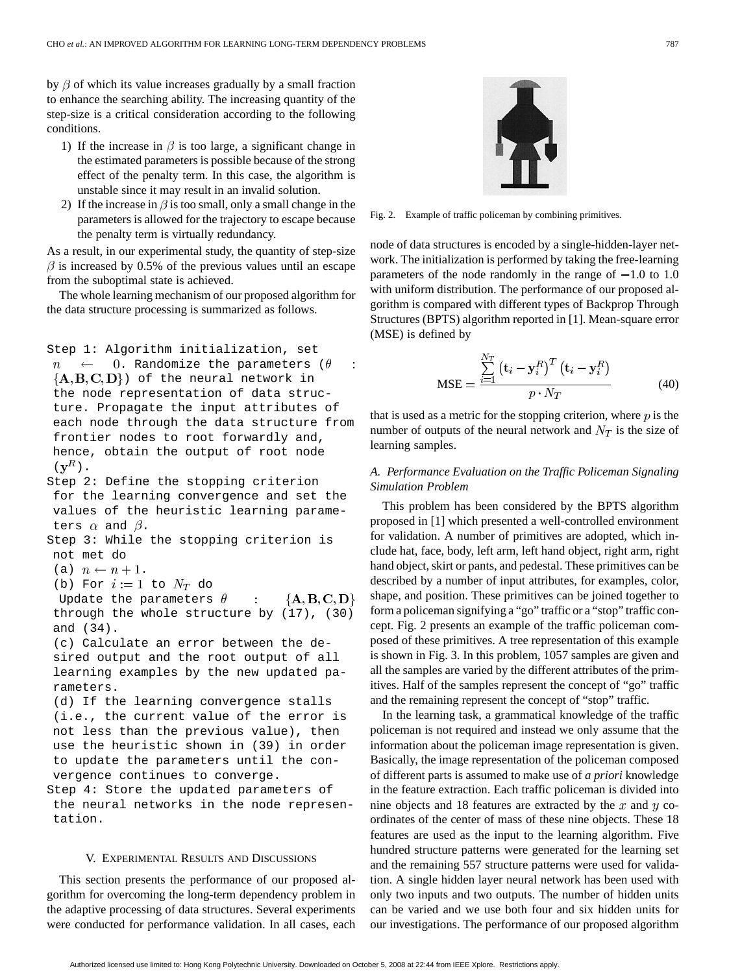by  $\beta$  of which its value increases gradually by a small fraction to enhance the searching ability. The increasing quantity of the step-size is a critical consideration according to the following conditions.

- 1) If the increase in  $\beta$  is too large, a significant change in the estimated parameters is possible because of the strong effect of the penalty term. In this case, the algorithm is unstable since it may result in an invalid solution.
- 2) If the increase in  $\beta$  is too small, only a small change in the parameters is allowed for the trajectory to escape because the penalty term is virtually redundancy.

As a result, in our experimental study, the quantity of step-size  $\beta$  is increased by 0.5% of the previous values until an escape from the suboptimal state is achieved.

The whole learning mechanism of our proposed algorithm for the data structure processing is summarized as follows.

Step 1: Algorithm initialization, set  $\longleftarrow$ 0. Randomize the parameters ( $\theta$  $\boldsymbol{n}$  $\{A, B, C, D\}$ ) of the neural network in the node representation of data structure. Propagate the input attributes of each node through the data structure from frontier nodes to root forwardly and, hence, obtain the output of root node  $(\mathbf{y}^R)$ .

Step 2: Define the stopping criterion for the learning convergence and set the values of the heuristic learning parameters  $\alpha$  and  $\beta$ .

Step 3: While the stopping criterion is not met do

(a)  $n \leftarrow n+1$ .

(b) For  $i := 1$  to  $N_T$  do

Update the parameters  $\theta$  ${A, B, C, D}$  $\ddot{\cdot}$ through the whole structure by (17), (30) and (34).

(c) Calculate an error between the desired output and the root output of all learning examples by the new updated parameters.

(d) If the learning convergence stalls (i.e., the current value of the error is not less than the previous value), then use the heuristic shown in (39) in order to update the parameters until the convergence continues to converge.

Step 4: Store the updated parameters of the neural networks in the node representation.

### V. EXPERIMENTAL RESULTS AND DISCUSSIONS

This section presents the performance of our proposed algorithm for overcoming the long-term dependency problem in the adaptive processing of data structures. Several experiments were conducted for performance validation. In all cases, each



Fig. 2. Example of traffic policeman by combining primitives.

node of data structures is encoded by a single-hidden-layer network. The initialization is performed by taking the free-learning parameters of the node randomly in the range of  $-1.0$  to 1.0 with uniform distribution. The performance of our proposed algorithm is compared with different types of Backprop Through Structures (BPTS) algorithm reported in [1]. Mean-square error (MSE) is defined by

$$
MSE = \frac{\sum_{i=1}^{N_T} (\mathbf{t}_i - \mathbf{y}_i^R)^T (\mathbf{t}_i - \mathbf{y}_i^R)}{p \cdot N_T}
$$
(40)

that is used as a metric for the stopping criterion, where  $p$  is the number of outputs of the neural network and  $N_T$  is the size of learning samples.

# *A. Performance Evaluation on the Traffic Policeman Signaling Simulation Problem*

This problem has been considered by the BPTS algorithm proposed in [1] which presented a well-controlled environment for validation. A number of primitives are adopted, which include hat, face, body, left arm, left hand object, right arm, right hand object, skirt or pants, and pedestal. These primitives can be described by a number of input attributes, for examples, color, shape, and position. These primitives can be joined together to form a policeman signifying a "go" traffic or a "stop" traffic concept. Fig. 2 presents an example of the traffic policeman composed of these primitives. A tree representation of this example is shown in Fig. 3. In this problem, 1057 samples are given and all the samples are varied by the different attributes of the primitives. Half of the samples represent the concept of "go" traffic and the remaining represent the concept of "stop" traffic.

In the learning task, a grammatical knowledge of the traffic policeman is not required and instead we only assume that the information about the policeman image representation is given. Basically, the image representation of the policeman composed of different parts is assumed to make use of *a priori* knowledge in the feature extraction. Each traffic policeman is divided into nine objects and 18 features are extracted by the  $x$  and  $y$  coordinates of the center of mass of these nine objects. These 18 features are used as the input to the learning algorithm. Five hundred structure patterns were generated for the learning set and the remaining 557 structure patterns were used for validation. A single hidden layer neural network has been used with only two inputs and two outputs. The number of hidden units can be varied and we use both four and six hidden units for our investigations. The performance of our proposed algorithm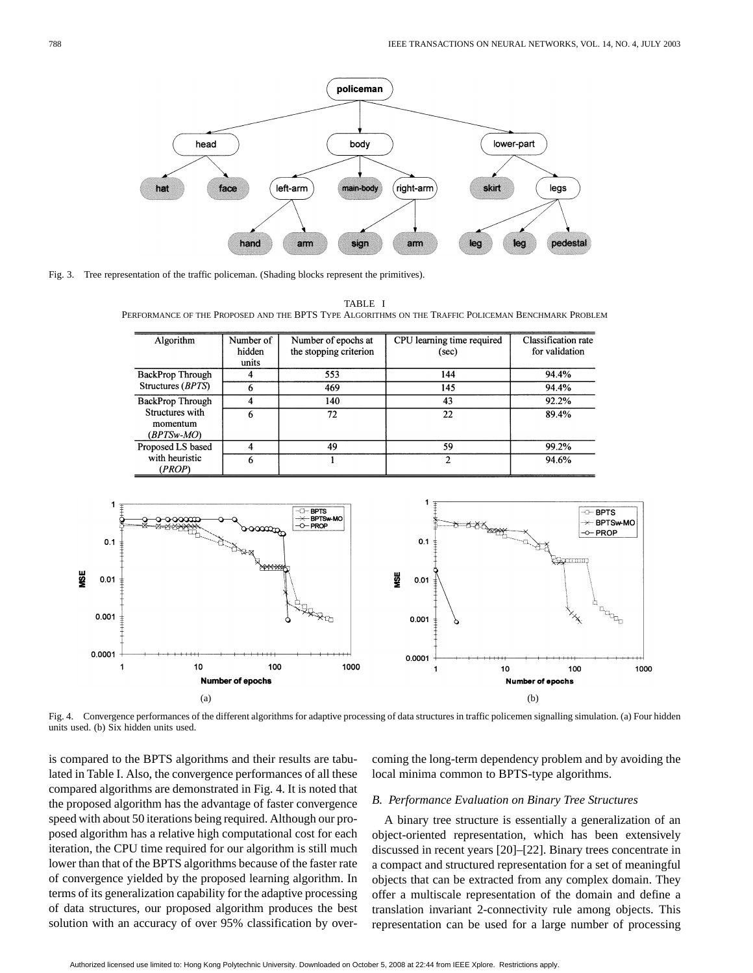

Fig. 3. Tree representation of the traffic policeman. (Shading blocks represent the primitives).

TABLE I PERFORMANCE OF THE PROPOSED AND THE BPTS TYPE ALGORITHMS ON THE TRAFFIC POLICEMAN BENCHMARK PROBLEM

| Algorithm                                                       | Number of<br>hidden<br>units | Number of epochs at<br>the stopping criterion | CPU learning time required<br>(sec) | Classification rate<br>for validation |
|-----------------------------------------------------------------|------------------------------|-----------------------------------------------|-------------------------------------|---------------------------------------|
| BackProp Through<br>Structures (BPTS)                           |                              | 553                                           | 144                                 | 94.4%                                 |
|                                                                 |                              | 469                                           | 145                                 | 94.4%                                 |
| BackProp Through<br>Structures with<br>momentum<br>$(BPTSw-MO)$ |                              | 140                                           | 43                                  | 92.2%                                 |
|                                                                 |                              | 72                                            | 22                                  | 89.4%                                 |
| Proposed LS based<br>with heuristic<br>(PROP)                   |                              | 49                                            | 59                                  | 99.2%                                 |
|                                                                 | 6                            |                                               | 2                                   | 94.6%                                 |



Fig. 4. Convergence performances of the different algorithms for adaptive processing of data structures in traffic policemen signalling simulation. (a) Four hidden units used. (b) Six hidden units used.

is compared to the BPTS algorithms and their results are tabulated in Table I. Also, the convergence performances of all these compared algorithms are demonstrated in Fig. 4. It is noted that the proposed algorithm has the advantage of faster convergence speed with about 50 iterations being required. Although our proposed algorithm has a relative high computational cost for each iteration, the CPU time required for our algorithm is still much lower than that of the BPTS algorithms because of the faster rate of convergence yielded by the proposed learning algorithm. In terms of its generalization capability for the adaptive processing of data structures, our proposed algorithm produces the best solution with an accuracy of over 95% classification by overcoming the long-term dependency problem and by avoiding the local minima common to BPTS-type algorithms.

# *B. Performance Evaluation on Binary Tree Structures*

A binary tree structure is essentially a generalization of an object-oriented representation, which has been extensively discussed in recent years [20]–[22]. Binary trees concentrate in a compact and structured representation for a set of meaningful objects that can be extracted from any complex domain. They offer a multiscale representation of the domain and define a translation invariant 2-connectivity rule among objects. This representation can be used for a large number of processing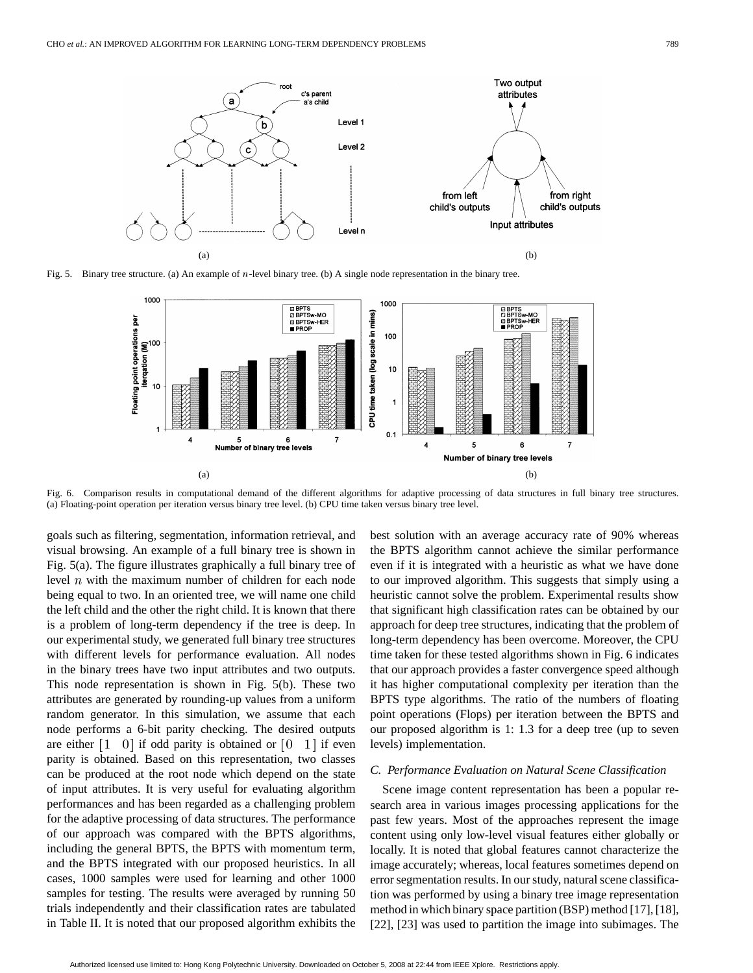

Fig. 5. Binary tree structure. (a) An example of n-level binary tree. (b) A single node representation in the binary tree.



Fig. 6. Comparison results in computational demand of the different algorithms for adaptive processing of data structures in full binary tree structures. (a) Floating-point operation per iteration versus binary tree level. (b) CPU time taken versus binary tree level.

goals such as filtering, segmentation, information retrieval, and visual browsing. An example of a full binary tree is shown in Fig. 5(a). The figure illustrates graphically a full binary tree of level  $n$  with the maximum number of children for each node being equal to two. In an oriented tree, we will name one child the left child and the other the right child. It is known that there is a problem of long-term dependency if the tree is deep. In our experimental study, we generated full binary tree structures with different levels for performance evaluation. All nodes in the binary trees have two input attributes and two outputs. This node representation is shown in Fig. 5(b). These two attributes are generated by rounding-up values from a uniform random generator. In this simulation, we assume that each node performs a 6-bit parity checking. The desired outputs are either  $\begin{bmatrix} 1 & 0 \end{bmatrix}$  if odd parity is obtained or  $\begin{bmatrix} 0 & 1 \end{bmatrix}$  if even parity is obtained. Based on this representation, two classes can be produced at the root node which depend on the state of input attributes. It is very useful for evaluating algorithm performances and has been regarded as a challenging problem for the adaptive processing of data structures. The performance of our approach was compared with the BPTS algorithms, including the general BPTS, the BPTS with momentum term, and the BPTS integrated with our proposed heuristics. In all cases, 1000 samples were used for learning and other 1000 samples for testing. The results were averaged by running 50 trials independently and their classification rates are tabulated in Table II. It is noted that our proposed algorithm exhibits the

best solution with an average accuracy rate of 90% whereas the BPTS algorithm cannot achieve the similar performance even if it is integrated with a heuristic as what we have done to our improved algorithm. This suggests that simply using a heuristic cannot solve the problem. Experimental results show that significant high classification rates can be obtained by our approach for deep tree structures, indicating that the problem of long-term dependency has been overcome. Moreover, the CPU time taken for these tested algorithms shown in Fig. 6 indicates that our approach provides a faster convergence speed although it has higher computational complexity per iteration than the BPTS type algorithms. The ratio of the numbers of floating point operations (Flops) per iteration between the BPTS and our proposed algorithm is 1: 1.3 for a deep tree (up to seven levels) implementation.

# *C. Performance Evaluation on Natural Scene Classification*

Scene image content representation has been a popular research area in various images processing applications for the past few years. Most of the approaches represent the image content using only low-level visual features either globally or locally. It is noted that global features cannot characterize the image accurately; whereas, local features sometimes depend on error segmentation results. In our study, natural scene classification was performed by using a binary tree image representation method in which binary space partition (BSP) method [17], [18], [22], [23] was used to partition the image into subimages. The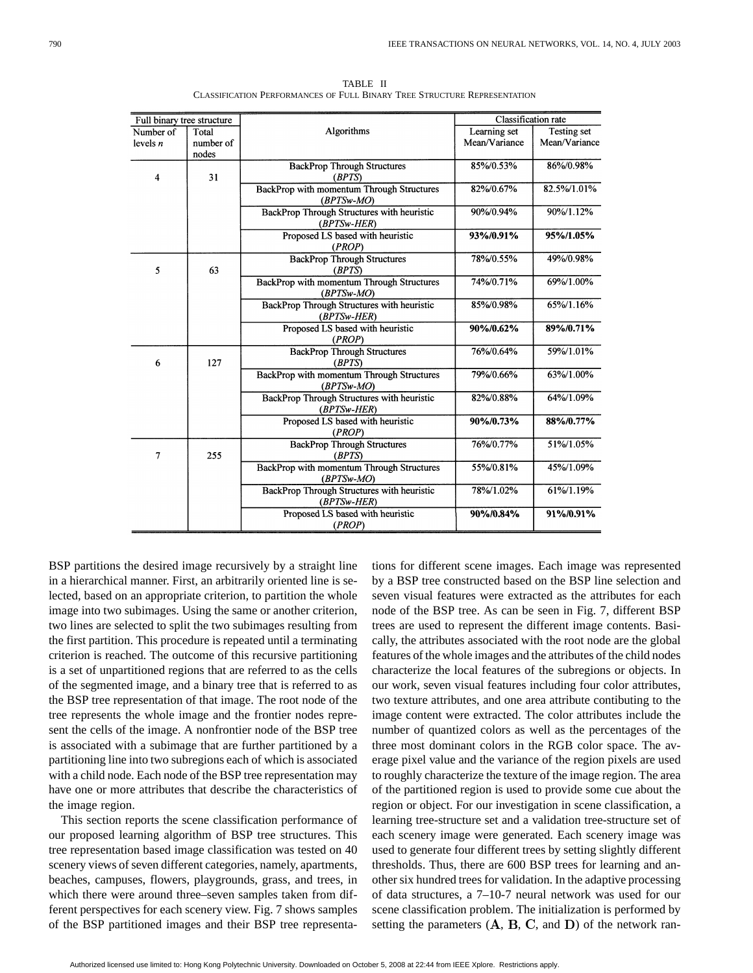| Full binary tree structure |                    |                                                                  | Classification rate           |                                     |
|----------------------------|--------------------|------------------------------------------------------------------|-------------------------------|-------------------------------------|
| Number of<br>levels $n$    | Total<br>number of | Algorithms                                                       | Learning set<br>Mean/Variance | <b>Testing set</b><br>Mean/Variance |
|                            | nodes              |                                                                  |                               |                                     |
| $\overline{\mathbf{4}}$    | 31                 | <b>BackProp Through Structures</b><br>(BPTS)                     | 85%/0.53%                     | 86%/0.98%                           |
|                            |                    | BackProp with momentum Through Structures<br>$(BPTSw-MO)$        | 82%/0.67%                     | 82.5%/1.01%                         |
|                            |                    | BackProp Through Structures with heuristic<br>(BPTSw-HER)        | 90%/0.94%                     | 90%/1.12%                           |
|                            |                    | Proposed LS based with heuristic<br>(PROP)                       | 93%/0.91%                     | 95%/1.05%                           |
| 5                          | 63                 | <b>BackProp Through Structures</b><br>(BPTS)                     | 78%/0.55%                     | 49%/0.98%                           |
|                            |                    | <b>BackProp with momentum Through Structures</b><br>$(BPTSw-MO)$ | 74%/0.71%                     | 69%/1.00%                           |
|                            |                    | BackProp Through Structures with heuristic<br>(BPTSw-HER)        | 85%/0.98%                     | 65%/1.16%                           |
|                            |                    | Proposed LS based with heuristic<br>(PROP)                       | 90%/0.62%                     | 89%/0.71%                           |
| 6                          | 127                | <b>BackProp Through Structures</b><br>(BPTS)                     | 76%/0.64%                     | 59%/1.01%                           |
|                            |                    | BackProp with momentum Through Structures<br>$(BPTSw-MO)$        | 79%/0.66%                     | 63%/1.00%                           |
|                            |                    | <b>BackProp Through Structures with heuristic</b><br>(BPTSw-HER) | 82%/0.88%                     | 64%/1.09%                           |
|                            |                    | Proposed LS based with heuristic<br>(PROP)                       | 90%/0.73%                     | 88%/0.77%                           |
| 7                          | 255                | <b>BackProp Through Structures</b><br>(BPTS)                     | 76%/0.77%                     | 51%/1.05%                           |
|                            |                    | BackProp with momentum Through Structures<br>$(BPTSw-MO)$        | 55%/0.81%                     | 45%/1.09%                           |
|                            |                    | BackProp Through Structures with heuristic<br>$(BPTSw-HER)$      | 78%/1.02%                     | 61%/1.19%                           |
|                            |                    | Proposed LS based with heuristic<br>(PROP)                       | 90%/0.84%                     | 91%/0.91%                           |

TABLE II CLASSIFICATION PERFORMANCES OF FULL BINARY TREE STRUCTURE REPRESENTATION

BSP partitions the desired image recursively by a straight line in a hierarchical manner. First, an arbitrarily oriented line is selected, based on an appropriate criterion, to partition the whole image into two subimages. Using the same or another criterion, two lines are selected to split the two subimages resulting from the first partition. This procedure is repeated until a terminating criterion is reached. The outcome of this recursive partitioning is a set of unpartitioned regions that are referred to as the cells of the segmented image, and a binary tree that is referred to as the BSP tree representation of that image. The root node of the tree represents the whole image and the frontier nodes represent the cells of the image. A nonfrontier node of the BSP tree is associated with a subimage that are further partitioned by a partitioning line into two subregions each of which is associated with a child node. Each node of the BSP tree representation may have one or more attributes that describe the characteristics of the image region.

This section reports the scene classification performance of our proposed learning algorithm of BSP tree structures. This tree representation based image classification was tested on 40 scenery views of seven different categories, namely, apartments, beaches, campuses, flowers, playgrounds, grass, and trees, in which there were around three–seven samples taken from different perspectives for each scenery view. Fig. 7 shows samples of the BSP partitioned images and their BSP tree representations for different scene images. Each image was represented by a BSP tree constructed based on the BSP line selection and seven visual features were extracted as the attributes for each node of the BSP tree. As can be seen in Fig. 7, different BSP trees are used to represent the different image contents. Basically, the attributes associated with the root node are the global features of the whole images and the attributes of the child nodes characterize the local features of the subregions or objects. In our work, seven visual features including four color attributes, two texture attributes, and one area attribute contibuting to the image content were extracted. The color attributes include the number of quantized colors as well as the percentages of the three most dominant colors in the RGB color space. The average pixel value and the variance of the region pixels are used to roughly characterize the texture of the image region. The area of the partitioned region is used to provide some cue about the region or object. For our investigation in scene classification, a learning tree-structure set and a validation tree-structure set of each scenery image were generated. Each scenery image was used to generate four different trees by setting slightly different thresholds. Thus, there are 600 BSP trees for learning and another six hundred trees for validation. In the adaptive processing of data structures, a 7–10-7 neural network was used for our scene classification problem. The initialization is performed by setting the parameters  $(A, B, C, and D)$  of the network ran-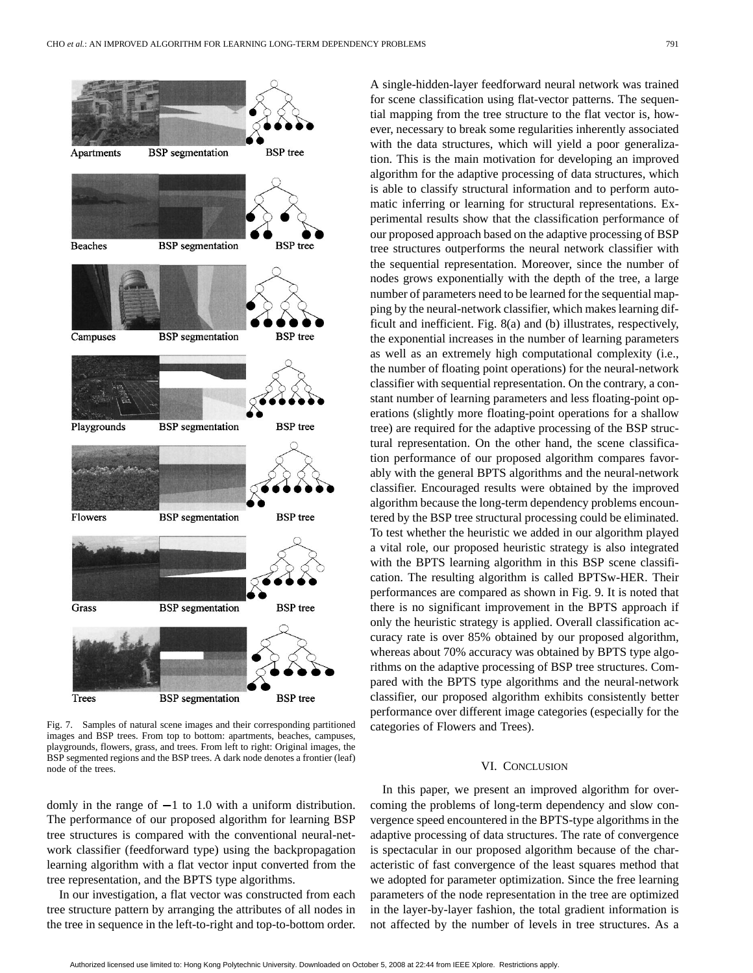

Fig. 7. Samples of natural scene images and their corresponding partitioned images and BSP trees. From top to bottom: apartments, beaches, campuses, playgrounds, flowers, grass, and trees. From left to right: Original images, the BSP segmented regions and the BSP trees. A dark node denotes a frontier (leaf) node of the trees.

domly in the range of  $-1$  to 1.0 with a uniform distribution. The performance of our proposed algorithm for learning BSP tree structures is compared with the conventional neural-network classifier (feedforward type) using the backpropagation learning algorithm with a flat vector input converted from the tree representation, and the BPTS type algorithms.

In our investigation, a flat vector was constructed from each tree structure pattern by arranging the attributes of all nodes in the tree in sequence in the left-to-right and top-to-bottom order. A single-hidden-layer feedforward neural network was trained for scene classification using flat-vector patterns. The sequential mapping from the tree structure to the flat vector is, however, necessary to break some regularities inherently associated with the data structures, which will yield a poor generalization. This is the main motivation for developing an improved algorithm for the adaptive processing of data structures, which is able to classify structural information and to perform automatic inferring or learning for structural representations. Experimental results show that the classification performance of our proposed approach based on the adaptive processing of BSP tree structures outperforms the neural network classifier with the sequential representation. Moreover, since the number of nodes grows exponentially with the depth of the tree, a large number of parameters need to be learned for the sequential mapping by the neural-network classifier, which makes learning difficult and inefficient. Fig. 8(a) and (b) illustrates, respectively, the exponential increases in the number of learning parameters as well as an extremely high computational complexity (i.e., the number of floating point operations) for the neural-network classifier with sequential representation. On the contrary, a constant number of learning parameters and less floating-point operations (slightly more floating-point operations for a shallow tree) are required for the adaptive processing of the BSP structural representation. On the other hand, the scene classification performance of our proposed algorithm compares favorably with the general BPTS algorithms and the neural-network classifier. Encouraged results were obtained by the improved algorithm because the long-term dependency problems encountered by the BSP tree structural processing could be eliminated. To test whether the heuristic we added in our algorithm played a vital role, our proposed heuristic strategy is also integrated with the BPTS learning algorithm in this BSP scene classification. The resulting algorithm is called BPTSw-HER. Their performances are compared as shown in Fig. 9. It is noted that there is no significant improvement in the BPTS approach if only the heuristic strategy is applied. Overall classification accuracy rate is over 85% obtained by our proposed algorithm, whereas about 70% accuracy was obtained by BPTS type algorithms on the adaptive processing of BSP tree structures. Compared with the BPTS type algorithms and the neural-network classifier, our proposed algorithm exhibits consistently better performance over different image categories (especially for the categories of Flowers and Trees).

# VI. CONCLUSION

In this paper, we present an improved algorithm for overcoming the problems of long-term dependency and slow convergence speed encountered in the BPTS-type algorithms in the adaptive processing of data structures. The rate of convergence is spectacular in our proposed algorithm because of the characteristic of fast convergence of the least squares method that we adopted for parameter optimization. Since the free learning parameters of the node representation in the tree are optimized in the layer-by-layer fashion, the total gradient information is not affected by the number of levels in tree structures. As a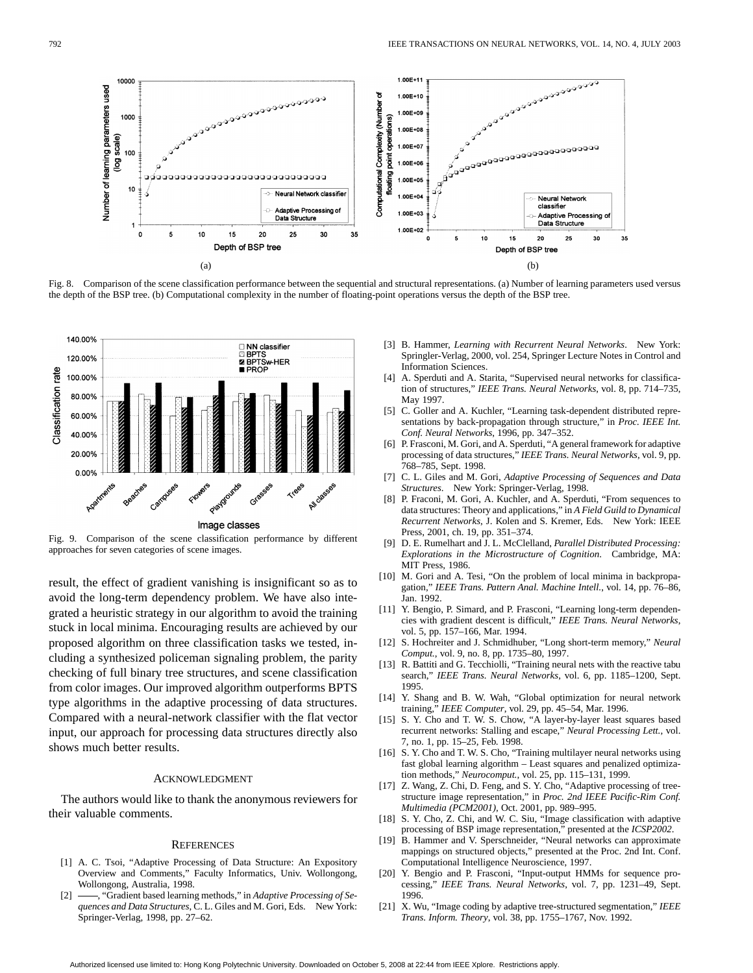

Fig. 8. Comparison of the scene classification performance between the sequential and structural representations. (a) Number of learning parameters used versus the depth of the BSP tree. (b) Computational complexity in the number of floating-point operations versus the depth of the BSP tree.



Fig. 9. Comparison of the scene classification performance by different approaches for seven categories of scene images.

result, the effect of gradient vanishing is insignificant so as to avoid the long-term dependency problem. We have also integrated a heuristic strategy in our algorithm to avoid the training stuck in local minima. Encouraging results are achieved by our proposed algorithm on three classification tasks we tested, including a synthesized policeman signaling problem, the parity checking of full binary tree structures, and scene classification from color images. Our improved algorithm outperforms BPTS type algorithms in the adaptive processing of data structures. Compared with a neural-network classifier with the flat vector input, our approach for processing data structures directly also shows much better results.

## ACKNOWLEDGMENT

The authors would like to thank the anonymous reviewers for their valuable comments.

## **REFERENCES**

- [1] A. C. Tsoi, "Adaptive Processing of Data Structure: An Expository Overview and Comments," Faculty Informatics, Univ. Wollongong, Wollongong, Australia, 1998.
- [2] , "Gradient based learning methods," in *Adaptive Processing of Sequences and Data Structures*, C. L. Giles and M. Gori, Eds. New York: Springer-Verlag, 1998, pp. 27–62.
- [3] B. Hammer, *Learning with Recurrent Neural Networks*. New York: Springler-Verlag, 2000, vol. 254, Springer Lecture Notes in Control and Information Sciences.
- [4] A. Sperduti and A. Starita, "Supervised neural networks for classification of structures," *IEEE Trans. Neural Networks*, vol. 8, pp. 714–735, May 1997.
- [5] C. Goller and A. Kuchler, "Learning task-dependent distributed representations by back-propagation through structure," in *Proc. IEEE Int. Conf. Neural Networks*, 1996, pp. 347–352.
- [6] P. Frasconi, M. Gori, and A. Sperduti, "A general framework for adaptive processing of data structures," *IEEE Trans. Neural Networks*, vol. 9, pp. 768–785, Sept. 1998.
- [7] C. L. Giles and M. Gori, *Adaptive Processing of Sequences and Data Structures*. New York: Springer-Verlag, 1998.
- [8] P. Fraconi, M. Gori, A. Kuchler, and A. Sperduti, "From sequences to data structures: Theory and applications," in *A Field Guild to Dynamical Recurrent Networks*, J. Kolen and S. Kremer, Eds. New York: IEEE Press, 2001, ch. 19, pp. 351–374.
- [9] D. E. Rumelhart and J. L. McClelland, *Parallel Distributed Processing: Explorations in the Microstructure of Cognition*. Cambridge, MA: MIT Press, 1986.
- [10] M. Gori and A. Tesi, "On the problem of local minima in backpropagation," *IEEE Trans. Pattern Anal. Machine Intell.*, vol. 14, pp. 76–86, Jan. 1992.
- [11] Y. Bengio, P. Simard, and P. Frasconi, "Learning long-term dependencies with gradient descent is difficult," *IEEE Trans. Neural Networks*, vol. 5, pp. 157–166, Mar. 1994.
- [12] S. Hochreiter and J. Schmidhuber, "Long short-term memory," *Neural Comput.*, vol. 9, no. 8, pp. 1735–80, 1997.
- [13] R. Battiti and G. Tecchiolli, "Training neural nets with the reactive tabu search," *IEEE Trans. Neural Networks*, vol. 6, pp. 1185–1200, Sept. 1995.
- [14] Y. Shang and B. W. Wah, "Global optimization for neural network training," *IEEE Computer*, vol. 29, pp. 45–54, Mar. 1996.
- [15] S. Y. Cho and T. W. S. Chow, "A layer-by-layer least squares based recurrent networks: Stalling and escape," *Neural Processing Lett.*, vol. 7, no. 1, pp. 15–25, Feb. 1998.
- [16] S. Y. Cho and T. W. S. Cho, "Training multilayer neural networks using fast global learning algorithm – Least squares and penalized optimization methods," *Neurocomput.*, vol. 25, pp. 115–131, 1999.
- [17] Z. Wang, Z. Chi, D. Feng, and S. Y. Cho, "Adaptive processing of treestructure image representation," in *Proc. 2nd IEEE Pacific-Rim Conf. Multimedia (PCM2001)*, Oct. 2001, pp. 989–995.
- [18] S. Y. Cho, Z. Chi, and W. C. Siu, "Image classification with adaptive processing of BSP image representation," presented at the *ICSP2002*.
- [19] B. Hammer and V. Sperschneider, "Neural networks can approximate mappings on structured objects," presented at the Proc. 2nd Int. Conf. Computational Intelligence Neuroscience, 1997.
- [20] Y. Bengio and P. Frasconi, "Input-output HMMs for sequence processing," *IEEE Trans. Neural Networks*, vol. 7, pp. 1231–49, Sept. 1996.
- [21] X. Wu, "Image coding by adaptive tree-structured segmentation," *IEEE Trans. Inform. Theory*, vol. 38, pp. 1755–1767, Nov. 1992.